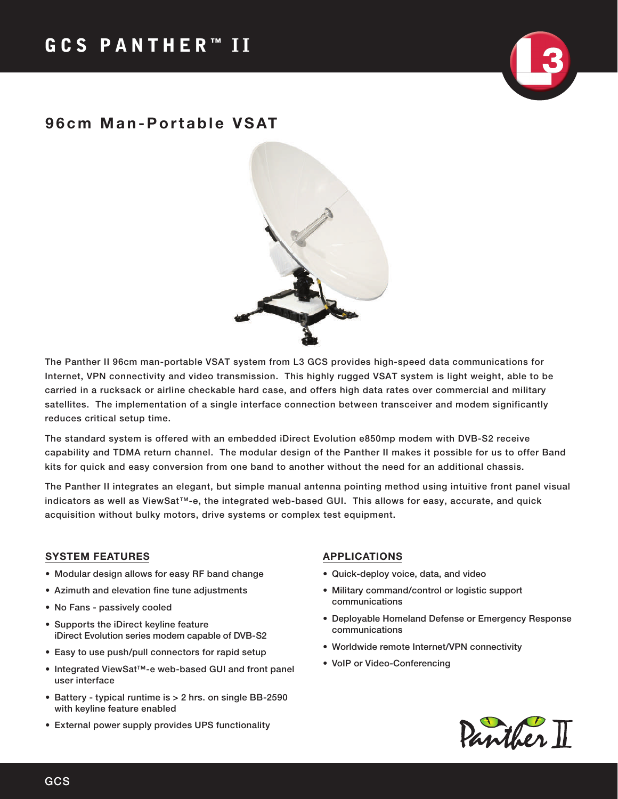## 96cm Man-Portable VSAT



The Panther II 96cm man-portable VSAT system from L3 GCS provides high-speed data communications for Internet, VPN connectivity and video transmission. This highly rugged VSAT system is light weight, able to be carried in a rucksack or airline checkable hard case, and offers high data rates over commercial and military satellites. The implementation of a single interface connection between transceiver and modem significantly reduces critical setup time.

The standard system is offered with an embedded iDirect Evolution e850mp modem with DVB-S2 receive capability and TDMA return channel. The modular design of the Panther II makes it possible for us to offer Band kits for quick and easy conversion from one band to another without the need for an additional chassis.

The Panther II integrates an elegant, but simple manual antenna pointing method using intuitive front panel visual indicators as well as ViewSat™-e, the integrated web-based GUI. This allows for easy, accurate, and quick acquisition without bulky motors, drive systems or complex test equipment.

### SYSTEM FEATURES

- Modular design allows for easy RF band change
- Azimuth and elevation fine tune adjustments
- No Fans passively cooled
- Supports the iDirect keyline feature iDirect Evolution series modem capable of DVB-S2
- Easy to use push/pull connectors for rapid setup
- Integrated ViewSat™-e web-based GUI and front panel user interface
- Battery typical runtime is > 2 hrs. on single BB-2590 with keyline feature enabled
- External power supply provides UPS functionality

#### APPLICATIONS

- Quick-deploy voice, data, and video
- Military command/control or logistic support communications
- Deployable Homeland Defense or Emergency Response communications
- Worldwide remote Internet/VPN connectivity
- VoIP or Video-Conferencing